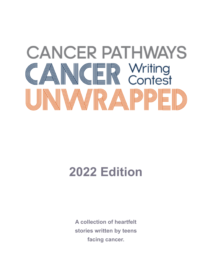

## **2022 Edition**

**A collection of heartfelt stories written by teens facing cancer.**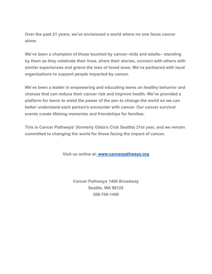**Over the past 21 years, we've envisioned a world where no one faces cancer alone.**

**We've been a champion of those touched by cancer--kids and adults-- standing by them as they celebrate their lives, share their stories, connect with others with similar experiences and grieve the loss of loved ones. We've partnered with local organizations to support people impacted by cancer.**

**We've been a leader in empowering and educating teens on healthy behavior and choices that can reduce their cancer risk and improve health. We've provided a platform for teens to wield the power of the pen to change the world so we can better understand each person's encounter with cancer. Our cancer survivor events create lifelong memories and friendships for families.**

**This is Cancer Pathways' (formerly Gilda's Club Seattle) 21st year, and we remain committed to changing the world for those facing the impact of cancer.**

**Visit us online at: [www.cancerpathways.org](http://www.cancerpathways.org/)**

**Cancer Pathways 1400 Broadway Seattle, WA 98122 206-709-1400**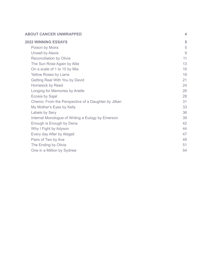#### **ABOUT CANCER UN[W](#page-3-0)RAPPED**

| <b>2022 WINNING ESSAYS</b>                           | 5  |
|------------------------------------------------------|----|
| Poison by Moira                                      | 5  |
| <b>Unwell by Alexis</b>                              | 9  |
| <b>Reconciliation by Olivia</b>                      | 11 |
| The Sun Rose Again by Allie                          | 13 |
| On a scale of 1 to 10 by Mia                         | 16 |
| Yellow Roses by Liana                                | 18 |
| Getting Real With You by David                       | 21 |
| <b>Homesick by Reed</b>                              | 24 |
| Longing for Memories by Arielle                      | 26 |
| Ecosia by Sajal                                      | 28 |
| Chemo: From the Perspective of a Daughter by Jillian | 31 |
| My Mother's Eyes by Kelly                            | 33 |
| Labels by Sery                                       | 36 |
| Internal Monologue of Writing a Eulogy by Emerson    | 39 |
| Enough is Enough by Dena                             | 42 |
| Why I Fight by Adyson                                | 44 |
| Every day After by Abigail                           | 47 |
| Pairs of Two by Ava                                  | 49 |
| The Ending by Olivia                                 | 51 |
| One in a Million by Sydnee                           | 54 |

**[4](#page-3-0)**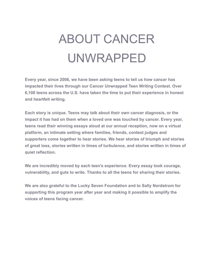# ABOUT CANCER UNWRAPPED

<span id="page-3-0"></span>**Every year, since 2006, we have been asking teens to tell us how cancer has impacted their lives through our Cancer Unwrapped Teen Writing Contest. Over 6,100 teens across the U.S. have taken the time to put their experience in honest and heartfelt writing.**

**Each story is unique. Teens may talk about their own cancer diagnosis, or the impact it has had on them when a loved one was touched by cancer. Every year, teens read their winning essays aloud at our annual reception, now on a virtual platform, an intimate setting where families, friends, contest judges and supporters come together to hear stories. We hear stories of triumph and stories of great loss, stories written in times of turbulence, and stories written in times of quiet reflection.**

**We are incredibly moved by each teen's experience. Every essay took courage, vulnerability, and guts to write. Thanks to all the teens for sharing their stories.**

**We are also grateful to the Lucky Seven Foundation and to Sally Nordstrom for supporting this program year after year and making it possible to amplify the voices of teens facing cancer.**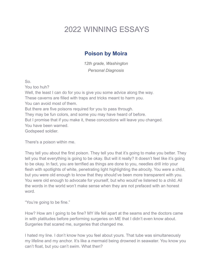## <span id="page-4-0"></span>2022 WINNING ESSAYS

#### **Poison by Moira**

*12th grade, Washington Personal Diagnosis*

<span id="page-4-1"></span>So.

You too huh?

Well, the least I can do for you is give you some advice along the way. These caverns are filled with traps and tricks meant to harm you. You can avoid most of them. But there are five poisons required for you to pass through. They may be fun colors, and some you may have heard of before. But I promise that if you make it, these concoctions will leave you changed. You have been warned. Godspeed soldier.

There's a poison within me.

They tell you about the first poison. They tell you that it's going to make you better. They tell you that everything is going to be okay. But will it really? It doesn't feel like it's going to be okay. In fact, you are terrified as things are done to you, needles drill into your flesh with spotlights of white, penetrating light highlighting the atrocity. You were a child, but you were old enough to know that they should've been more transparent with you. You were old enough to advocate for yourself, but who would've listened to a child. All the words in the world won't make sense when they are not prefaced with an honest word.

"You're going to be fine."

How? How am I going to be fine? MY life fell apart at the seams and the doctors came in with platitudes before performing surgeries on ME that I didn't even know about. Surgeries that scared me, surgeries that changed me.

I hated my line. I don't know how you feel about yours. That tube was simultaneously my lifeline and my anchor. It's like a mermaid being drowned in seawater. You know you can't float, but you can't swim. What then?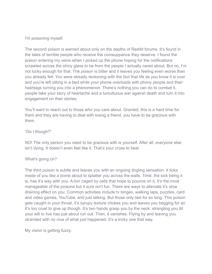I'm poisoning myself.

The second poison is warned about only on the depths of Reddit forums. It's found in the tales of terrible people who receive the comeuppance they deserve. I found the poison entering my veins when I picked up the phone hoping for the notifications scrawled across the shiny glass to be from the people I actually cared about. But no, I'm not lucky enough for that. The poison is bitter and it leaves you feeling even worse than you already felt. You were already reckoning with the fact that life as you know it is over and you're left sitting in a bed while your phone overloads with phony people and their hashtags turning you into a phenomenon. There's nothing you can do to combat it, people take your story of heartache and a tumultuous war against death and turn it into engagement on their stories.

You'll want to reach out to those who you care about. Granted, this is a hard time for them and they are having to deal with losing a friend, you have to be gracious with them.

#### "Do I though?"

NO! The only person you need to be gracious with is yourself. After all, everyone else isn't dying. It doesn't even feel like it. That's your cross to bear.

#### What's going on?

The third poison is subtle and leaves you with an ongoing tingling sensation. It ticks inside of you like a bomb about to splatter you across the walls. Time, the sick being it is, has it's way with you. A lion caged by cells that hope to pounce on it. It's the most manageable of the poisons but it sure isn't fun. There are ways to alleviate it's slow draining effect on you. Common activities include tv binges, walking laps, puzzles, card and video games, YouTube, and just talking. But those only last for so long. This poison gets caught in your throat, it's syrupy texture chokes you and leaves you begging for air. It's too cruel to give up though. It's two hands grasp you by the neck, strangling you till your will to live has just about run out. Then, it vanishes. Flying by and leaving you stranded with no clue of what just happened. It's a tricky one that way.

My vision is getting fuzzy.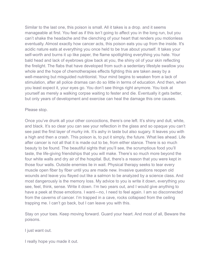Similar to the last one, this poison is small. All it takes is a drop. and it seems manageable at first. You feel as if this isn't going to affect you in the long run, but you can't shake the headache and the clenching of your heart that renders you motionless eventually. Almost exactly how cancer acts, this poison eats you up from the inside. It's acidic nature eats at everything you once held to be true about yourself. It takes your self-worth and burns it up like paper, the flame spotlighting everything you hate. Your bald head and lack of eyebrows glow back at you, the shiny oil of your skin reflecting the firelight. The flabs that have developed from such a sedentary lifestyle swallow you whole and the hope of chemotherapies effects fighting this are taken away by a well-meaning but misguided nutritionist. Your mind begins to weaken from a lack of stimulation, after all police dramas can do so little in terms of education. And then, when you least expect it, your eyes go. You don't see things right anymore. You look at yourself as merely a walking corpse waiting to fester and die. Eventually it gets better, but only years of development and exercise can heal the damage this one causes.

#### Please stop.

Once you've drunk all your other concoctions, there's one left. It's shiny and dull, white, and black. It's so clear you can see your reflection in the glass and so opaque you can't see past the first layer of murky ink. It's ashy in taste but also sugary. It leaves you with a high and then a crash. This poison is, to put it simply, the future. What lies ahead. Life after cancer is not all that it is made out to be, from either stance. There is so much beauty to be found. The beautiful sights that you'll see, the scrumptious food you'll taste, the life-giving friendships that you will make. There's so much more beyond the four white walls and dry air of the hospital. But, there's a reason that you were kept in those four walls. Outside enemies lie in wait. Physical therapy seeks to tear every muscle open fiber by fiber until you are made new. Invasive questions reopen old wounds and leave you flayed out like a salmon to be analyzed by a science class. And most dangerously is the memory loss. My advice to you is write it down, everything you see, feel, think, sense. Write it down. I'm two years out, and I would give anything to have a peek at those emotions. I want—no, I need to feel again. I am so disconnected from the caverns of cancer. I'm trapped in a cave, rocks collapsed from the ceiling trapping me. I can't go back, but I can leave you with this.

Stay on your toes. Keep moving forward. Guard your heart. And most of all, Beware the poisons.

I just want out.

I really hope you made it out.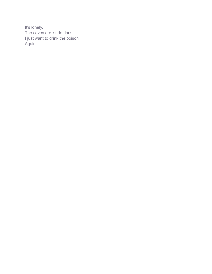It's lonely. The caves are kinda dark. I just want to drink the poison Again.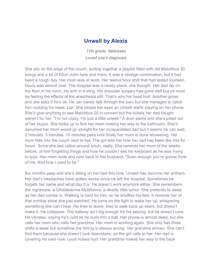#### **Unwell by Alexis**

*11th grade, Nebraska Loved one's diagnosis*

<span id="page-8-0"></span>She sits on the edge of the couch, putting together a playlist filled with old Matchbox 20 songs and a bit of Elton John here and there. It was a strange combination, but it had been a rough day. Her mom was at work. Her twelve hour shift that had lasted fourteen hours was almost over. The hospital was a needy place, she thought. Her dad lay on the floor in his room, his arm in a sling. His shoulder surgery had gone well but he must be feeling the effects of the anesthesia still. That's why his head hurt. Another groan and she asks if he's ok. He can barely talk through the pain but she manages to catch him nodding his head. Liar. She closes her eyes as Unwell starts playing on her phone. She'd give anything to see Matchbox 20 in concert but the tickets her dad bought weren't for her. "I'm not crazy, I'm just a little unwell." A door slams and she's jolted out of her stupor. She looks up to find her mom making her way to the bathroom. She'd assumed her mom would go straight for her incapacitated dad but it seems he can wait. 2 minutes. 5 minutes. 10 minutes pass until finally her mom is done showering. Her mom falls into the couch next to her. The girl tells her how her dad has been like this for hours. Since she last called around lunch, really. She reminds her mom of the weeks before, of him forgetting things and how he couldn't see his keyboard as he was trying to type. Her mom nods and runs back to her husband. "Soon enough you're gonna think of me. And how I used to be."

Six months pass and she's sitting on her bed this time. Unwell has become her anthem. Her dad's headaches have gotten worse since he left the hospital. Sometimes he forgets her name and what day it is. He doesn't work anymore either. She remembers the nightmare, a Glioblastoma Multiforme, a deadly little tumor. She pretends to sleep as her dad comes in. Walking is hard for him, so he shuffles his feet. It reminds her of that zombie show she just watched. He turns on the light to wake her up, whispering something she can't hear. He tries to leave, tries to walk back up stairs, but doesn't make it. He collapses. The hallway isn't big enough for his seizing, but he doesn't care. He vibrates, saying he's cold as he curls into a ball. Her phone is almost dead, but she calls her mom who calls her grandma. Her mom is working again. She only has three shifts a week but somehow the timing is always wrong. Her grandma arrives. She can't find them because she doesn't look downstairs, so the girl calls to her. Her dad is covering his ears now. Loud noises hurt. Her grandma makes her way to the back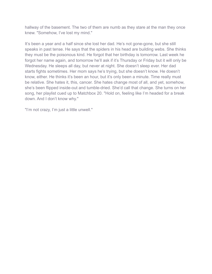hallway of the basement. The two of them are numb as they stare at the man they once knew. "Somehow, I've lost my mind."

It's been a year and a half since she lost her dad. He's not gone-gone, but she still speaks in past tense. He says that the spiders in his head are building webs. She thinks they must be the poisonous kind. He forgot that her birthday is tomorrow. Last week he forgot her name again, and tomorrow he'll ask if it's Thursday or Friday but it will only be Wednesday. He sleeps all day, but never at night. She doesn't sleep ever. Her dad starts fights sometimes. Her mom says he's trying, but she doesn't know. He doesn't know, either. He thinks it's been an hour, but it's only been a minute. Time really must be relative. She hates it, this, cancer. She hates change most of all, and yet, somehow, she's been flipped inside-out and tumble-dried. She'd call that change. She turns on her song, her playlist cued up to Matchbox 20. "Hold on, feeling like I'm headed for a break down. And I don't know why."

"I'm not crazy, I'm just a little unwell."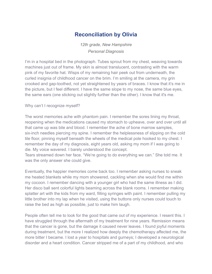## **Reconciliation by Olivia**

*12th grade, New Hampshire Personal Diagnosis*

<span id="page-10-0"></span>I'm in a hospital bed in the photograph. Tubes sprout from my chest, weaving towards machines just out of frame. My skin is almost translucent, contrasting with the warm pink of my favorite hat. Wisps of my remaining hair peek out from underneath, the curled insignia of childhood cancer on the brim. I'm smiling at the camera, my grin crooked and gap-toothed, not yet straightened by years of braces. I know that it's me in the picture, but I feel different. I have the same slope to my nose, the same blue eyes, the same ears (one sticking out slightly further than the other). I know that it's me.

#### Why can't I recognize myself?

The worst memories ache with phantom pain. I remember the sores lining my throat, reopening when the medications caused my stomach to upheave, over and over until all that came up was bile and blood. I remember the ache of bone marrow samples, six-inch needles piercing my spine. I remember the helplessness of slipping on the cold tile floor, pinning myself beneath the wheels of the medical pole hooked to my chest. I remember the day of my diagnosis, eight years old, asking my mom if I was going to die. My voice wavered. I barely understood the concept.

Tears streamed down her face. "We're going to do everything we can." She told me. It was the only answer she could give.

Eventually, the happier memories come back too. I remember asking nurses to sneak me heated blankets while my mom showered, cackling when she would find me within my cocoon. I remember dancing with a younger girl who had the same illness as I did. Her disco ball sent colorful lights beaming across the blank rooms. I remember making splatter art with the kids from my ward, filling syringes with paint. I remember pulling my little brother into my lap when he visited, using the buttons only nurses could touch to raise the bed as high as possible, just to make him laugh.

People often tell me to look for the good that came out of my experience. I resent this. I have struggled through the aftermath of my treatment for nine years. Remission means that the cancer is gone, but the damage it caused never leaves. I found joyful moments during treatment, but the more I realized how deeply the chemotherapy affected me, the more bitter I became. I lost a year to hospitals and gurneys; I developed a neurological disorder and a heart condition. Cancer stripped me of a part of my childhood, and who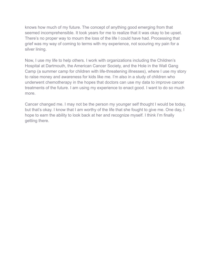knows how much of my future. The concept of anything good emerging from that seemed incomprehensible. It took years for me to realize that it was okay to be upset. There's no proper way to mourn the loss of the life I could have had. Processing that grief was my way of coming to terms with my experience, not scouring my pain for a silver lining.

Now, I use my life to help others. I work with organizations including the Children's Hospital at Dartmouth, the American Cancer Society, and the Hole in the Wall Gang Camp (a summer camp for children with life-threatening illnesses), where I use my story to raise money and awareness for kids like me. I'm also in a study of children who underwent chemotherapy in the hopes that doctors can use my data to improve cancer treatments of the future. I am using my experience to enact good. I want to do so much more.

Cancer changed me. I may not be the person my younger self thought I would be today, but that's okay. I know that I am worthy of the life that she fought to give me. One day, I hope to earn the ability to look back at her and recognize myself. I think I'm finally getting there.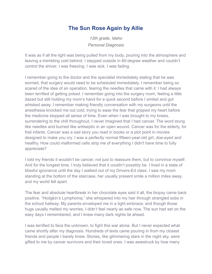## **The Sun Rose Again by Allie**

*12th grade, Idaho Personal Diagnosis*

<span id="page-12-0"></span>It was as if all the light was being pulled from my body, pouring into the atmosphere and leaving a trembling cold behind. I stepped outside in 80-degree weather and couldn't control the shiver. I was freezing. I was sick. I was fading.

I remember going to the doctor and the specialist immediately stating that he was worried, that surgery would need to be scheduled immediately. I remember being so scared of the idea of an operation, fearing the needles that came with it. I had always been terrified of getting poked. I remember going into the surgery room, feeling a little dazed but still holding my mom's hand for a quick second before I smiled and got whisked away. I remember making friendly conversation with my surgeons until the anesthesia knocked me out cold, trying to ease the fear that gripped my heart before the medicine stopped all sense of time. Even when I was brought to my knees, surrendering to the chill throughout, I never imagined that I had cancer. The word stung like needles and burned like antiseptic in an open wound. Cancer was for the elderly, for frail infants. Cancer was a sad story you read in books or a plot point in movies designed to make you cry. I was a perfectly normal fifteen-year-old girl, doe-eyed and healthy. How could malformed cells strip me of everything I didn't have time to fully appreciate?

I told my friends it wouldn't be cancer, not just to reassure them, but to convince myself. And for the longest time, I truly believed that it couldn't possibly be. I lived in a state of blissful ignorance until the day I walked out of my Drivers-Ed class. I saw my mom standing at the bottom of the staircase, her usually present smile a million miles away, and my world fell apart.

The fear and absolute heartbreak in her chocolate eyes said it all, the biopsy came back positive. "Hodgkin's Lymphoma," she whispered into my hair through strangled sobs in the school hallway. My parents enveloped me in a tight embrace, and though those hugs usually melted my worries, I didn't feel nearly as safe now. The sun had set on the easy days I remembered, and I knew many dark nights lie ahead.

I was terrified to face the unknown, to fight this war alone. But I never expected what came shortly after my diagnosis. Hundreds of texts came pouring in from my closest friends and people I barely knew. Stories, like glimmering stars in the night sky, were gifted to me by cancer survivors and their loved ones. I was awestruck by how many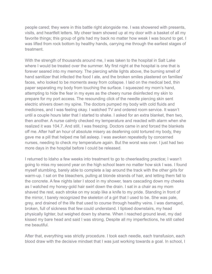people cared; they were in this battle right alongside me. I was showered with presents, visits, and heartfelt letters. My cheer team showed up at my door with a basket of all my favorite things; this group of girls had my back no matter how weak I was bound to get. I was lifted from rock bottom by healthy hands, carrying me through the earliest stages of treatment.

With the strength of thousands around me, I was taken to the hospital in Salt Lake where I would be treated over the summer. My first night at the hospital is one that is forever seared into my memory. The piercing white lights above, the burning smell of hand sanitizer that infected the food I ate, and the broken smiles plastered on families' faces, who looked to be moments away from collapse. I laid on the medical bed, thin paper separating my body from touching the surface. I squeezed my mom's hand, attempting to hide the fear in my eyes as the cheery nurse disinfected my skin to prepare for my port access. The resounding click of the needle piercing skin sent electric shivers down my spine. The doctors pumped my body with cold fluids and medicines, and I was feeling okay. I watched TV and ordered room service. It wasn't until a couple hours later that I started to shake. I asked for an extra blanket, then two, then another. A nurse calmly checked my temperature and reacted with alarm when she realized it was 104.7. And still, I was freezing. Doctors came in and forced the blankets off me. After half an hour of absolute misery as deafening cold tortured my body, they gave me a pill that helped me fall asleep. I was awoken repeatedly by concerned nurses, needing to check my temperature again. But the worst was over. I just had two more days in the hospital before I could be released.

I returned to Idaho a few weeks into treatment to go to cheerleading practice; I wasn't going to miss my second year on the high school team no matter how sick I was. I found myself stumbling, barely able to complete a lap around the track with the other girls for warm-up. I sat on the bleachers, pulling at blonde strands of hair, and letting them fall to the concrete. A few nights later I stood in my shower, tears cascading down my cheeks as I watched my honey-gold hair swirl down the drain. I sat in a chair as my mom shaved the rest, each stroke on my scalp like a knife to my pride. Standing in front of the mirror, I barely recognized the skeleton of a girl that I used to be. She was pale, grey, and drained of the life that used to course through healthy veins. I was damaged, broken, full of sickness that few could understand. I tiptoed downstairs, my head physically lighter, but weighed down by shame. When I reached ground level, my dad kissed my bare head and said I was strong. Despite all my imperfections, he still called me beautiful.

After that, everything was strictly procedure. I took each needle, each transfusion, each blood draw with the decisive mindset that I was just working towards a goal. In school, I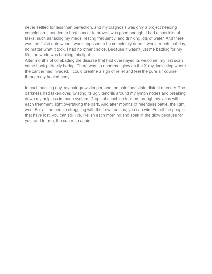never settled for less than perfection, and my diagnosis was only a project needing completion. I needed to beat cancer to prove I was good enough. I had a checklist of tasks, such as taking my meds, resting frequently, and drinking lots of water. And there was the finish date when I was supposed to be completely done. I would reach that day, no matter what it took. I had no other choice. Because it wasn't just me battling for my life, the world was backing this fight.

After months of combatting the disease that had overstayed its welcome, my last scan came back perfectly boring. There was no abnormal glow on the X-ray, indicating where the cancer had invaded. I could breathe a sigh of relief and feel the pure air course through my healed body.

In each passing day, my hair grows longer, and the pain fades into distant memory. The darkness had taken over, twisting its ugly tendrils around my lymph nodes and breaking down my helpless immune system. Drops of sunshine trickled through my veins with each treatment, light overtaking the dark. And after months of relentless battle, the light won. For all the people struggling with their own battles, you can win. For all the people that have lost, you can still live. Relish each morning and soak in the glow because for you, and for me, the sun rose again.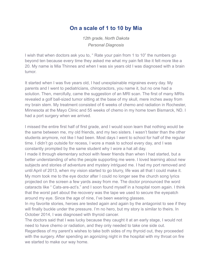#### **On a scale of 1 to 10 by Mia**

*12th grade, North Dakota Personal Diagnosis*

<span id="page-15-0"></span>I wish that when doctors ask you to, " Rate your pain from 1 to 10" the numbers go beyond ten because every time they asked me what my pain felt like it felt more like a 20. My name is Mia Thinnes and when I was six years old I was diagnosed with a brain tumor.

It started when I was five years old, I had unexplainable migraines every day. My parents and I went to pediatricians, chiropractors, you name it, but no one had a solution. Then, mercifully, came the suggestion of an MRI scan. The first of many MRIs revealed a golf ball-sized tumor sitting at the base of my skull, mere inches away from my brain stem. My treatment consisted of 6 weeks of chemo and radiation in Rochester, Minnesota at the Mayo Clinic and 55 weeks of chemo in my home town Bismarck, ND. I had a port surgery when we arrived.

I missed the entire first half of first grade, and I would soon learn that nothing would be the same between me, my old friends, and my two sisters. I wasn't faster than the other students anymore, not like I had been. Most days I went to school for half of the regular time. I didn't go outside for recess, I wore a mask to school every day, and I was constantly prompted by the same student why I wore a hat all day.

I made it through elementary school with fewer friends than when I had started, but a better understanding of who the people supporting me were. I loved learning about new subjects and stories of adventure and mystery intrigued me. I had my port removed and until April of 2013, when my vision started to go blurry, life was all that I could make it. My mom took me to the eye doctor after I could no longer see the church song lyrics projected on the screen a few yards away from me. The doctor pronounced the word cataracts like " Cats-are-act's." and I soon found myself in a hospital room again. I think that the worst part about the recovery was the tape we used to secure the eyepatch around my eye. Since the age of nine, I've been wearing glasses.

In my favorite stories, heroes are tested again and again by the antagonist to see if they will finally buckle under the pressure. I'm no hero, but my story is similar to theirs. In October 2014, I was diagnosed with thyroid cancer.

The doctors said that I was lucky because they caught it at an early stage, I would not need to have chemo or radiation, and they only needed to take one side out. Regardless of my parent's wishes to take both sides of my thyroid out, they proceeded with the surgery. After spending an agonizing night in the hospital with my throat on fire we started to make our way home.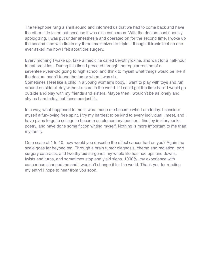The telephone rang a shrill sound and informed us that we had to come back and have the other side taken out because it was also cancerous. With the doctors continuously apologizing, I was put under anesthesia and operated on for the second time. I woke up the second time with fire in my throat maximized to triple. I thought it ironic that no one ever asked me how I felt about the surgery.

Every morning I wake up, take a medicine called Levothyroxine, and wait for a half-hour to eat breakfast. During this time I proceed through the regular routine of a seventeen-year-old going to high school and think to myself what things would be like if the doctors hadn't found the tumor when I was six.

Sometimes I feel like a child in a young woman's body. I want to play with toys and run around outside all day without a care in the world. If I could get the time back I would go outside and play with my friends and sisters. Maybe then I wouldn't be as lonely and shy as I am today, but those are just ifs.

In a way, what happened to me is what made me become who I am today. I consider myself a fun-loving free spirit. I try my hardest to be kind to every individual I meet, and I have plans to go to college to become an elementary teacher. I find joy in storybooks, poetry, and have done some fiction writing myself. Nothing is more important to me than my family.

On a scale of 1 to 10, how would you describe the effect cancer had on you? Again the scale goes far beyond ten. Through a brain tumor diagnosis, chemo and radiation, port surgery cataracts, and two thyroid surgeries my whole life has had ups and downs, twists and turns, and sometimes stop and yield signs. 1000%, my experience with cancer has changed me and I wouldn't change it for the world. Thank you for reading my entry! I hope to hear from you soon.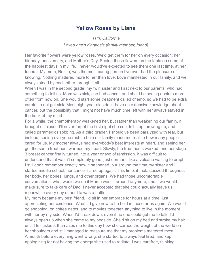#### **Yellow Roses by Liana**

*11th, California Loved one's diagnosis (family member, friend)*

<span id="page-17-0"></span>Her favorite flowers were yellow roses. We'd get them for her on every occasion; her birthday, anniversary, and Mother's Day. Seeing those flowers on the table on some of the happiest days in my life, I never would've expected to see them one last time, at her funeral. My mom, Rozita, was the most caring person I've ever had the pleasure of knowing. Nothing mattered more to her than love. Love manifested in our family, and we always stood by each other through it all.

When I was in the second grade, my twin sister and I sat next to our parents, who had something to tell us. Mom was sick, she had cancer, and she'd be seeing doctors more often from now on. She would start some treatment called chemo, so we had to be extra careful to not get sick. Most eight year olds don't have an extensive knowledge about cancer, but the possibility that I might not have much time left with her always stayed in the back of my mind.

For a while, the chemotherapy weakened her, but rather than weakening our family, it brought us closer. I'll never forget the first night she couldn't stop throwing up, and called paramedics sobbing. As a third grader, I should've been paralyzed with fear, but instead, seeing everyone rush to help our family made me realize how many people cared for us. My mother always had everybody's best interests at heart, and seeing her get the same treatment warmed my heart. Slowly, the treatments worked, and her stage 3 breast cancer finally turned into a year or two of remission. It was difficult to understand that it wasn't completely gone, just dormant, like a volcano waiting to erupt. I still don't remember exactly how it happened, but around the time my sister and I started middle school, her cancer flared up again. This time, it metastasized throughout her body, her bones, lungs, and other organs. We had those uncomfortable conversations, what would we do if Mama wasn't around anymore, and if we would make sure to take care of Dad. I never accepted that she could actually leave us, meanwhile every day of her life was a battle.

My mom became my best friend. I'd sit in her embrace for hours at a time, just appreciating her existence. What I'd give now to be held in those arms again. We would go shopping, on coffee dates, and to movies together, anything to live in the moment with her by my side. When I'd break down, even if no one could get me to talk, I'd always open up when she came to my bedside. She'd sit on my bed and stroke my hair until I fell asleep. It amazes me to this day how she carried the weight of the world on her shoulders and still managed to reassure me that my problems mattered most. A month before everything went wrong, she started to always feel tired, and kept apologizing for not having the energy she used to radiate. I was carefree, thinking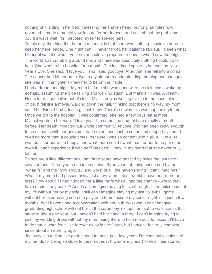nothing of it; sitting in her bed, caressing her shaven head, our original roles now reversed. I made a mental vow to care for her forever, and accept that my problems could always wait, for I devoted myself to solving hers.

To this day, the thing that bothers me most is that there was nothing I could've done to keep her here longer. One night that I'll never forget, her patience ran out. I'd seen what I thought was the worst, yet I never could've prepared to handle what I saw that night. The world was crumbling around me, and there was absolutely nothing I could do to help. She went to the hospital for a month. The last time I spoke to her was on New Year's Eve. She said, "I love you," and I said goodbye. After that, she fell into a coma. The cancer had hit her brain. But to my stubborn understanding, nothing had changed she was still the fighter I knew her to be on the inside.

I had a dream one night. My mom told me she was done with the sickness. I woke up ecstatic, assuming she'd be talking and walking again. But that's all it was. A dream. Hours later, I got called out of class. My sister was waiting for me in the counselor's office. It felt like a movie, walking down the hall, thinking that there's no way my mom could be dying. I had a feeling, I just knew. There's no way this was happening to me. Once we got to the hospital, it was confirmed, she had a few days left at most. My last words to her were "I love you," the same she had told me exactly a month before. Her death impacted our whole community. Anyone who had been lucky enough to cross paths with her grieved. I had never seen such a connected support system. I cried no more than a couple times, because I was so content with it all. All I've ever wanted is for her to be happy, and what more could I want than for her to be pain free, even if I can't experience it with her? Besides, I know in my heart that she never truly left me.

Things are a little different now that three years have passed by since the last time I saw her face. Three years of contemplation, three years of being consumed by the "what-ifs" and the "how abouts," and worst of all, the never-ending "I can't imagines." What if my mom had passed away just a few years later - would it have hurt more or less? How about if I had hugged her a little more when I had the chance - would that have made it any easier? And I can't imagine having to live through all the milestones of my life without her by my side. I still can't imagine playing my last volleyball game without her ever having seen me play on a team, except my senior night is in just a few months, but I haven't had a conversation with her in thirty-seven. I can't imagine graduating high school without her at the ceremony, except I am set to walk across that stage in about one year, but I haven't held her hand in three. I can't imagine trying to pick my wedding dress without my mom being there to help me decide, except I'll have to do that in what feels like forever away in the future, but I haven't felt truly complete since about an eternity ago.

Jealousy is a feeling I've gotten used to these past few years. I'm constantly jealous of my friends for being so close to their mothers. It warms my heart to hear their stories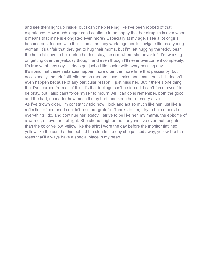and see them light up inside, but I can't help feeling like I've been robbed of that experience. How much longer can I continue to be happy that her struggle is over when it means that mine is elongated even more? Especially at my age, I see a lot of girls become best friends with their moms, as they work together to navigate life as a young woman. It's unfair that they get to hug their moms, but I'm left hugging the teddy bear the hospital gave to her during her last stay, the one where she never left. I'm working on getting over the jealousy though, and even though I'll never overcome it completely, it's true what they say - it does get just a little easier with every passing day. It's ironic that these instances happen more often the more time that passes by, but occasionally, the grief still hits me on random days. I miss her. I can't help it. It doesn't even happen because of any particular reason, I just miss her. But if there's one thing that I've learned from all of this, it's that feelings can't be forced. I can't force myself to be okay, but I also can't force myself to mourn. All I can do is remember, both the good and the bad, no matter how much it may hurt, and keep her memory alive. As I've grown older, I'm constantly told how I look and act so much like her, just like a reflection of her, and I couldn't be more grateful. Thanks to her, I try to help others in everything I do, and continue her legacy. I strive to be like her, my mama, the epitome of a warrior, of love, and of light. She shone brighter than anyone I've ever met, brighter than the color yellow, yellow like the shirt I wore the day before the monitor flatlined, yellow like the sun that hid behind the clouds the day she passed away, yellow like the roses that'll always have a special place in my heart.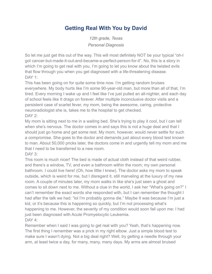## **Getting Real With You by David**

*12th grade, Texas Personal Diagnosis*

<span id="page-20-0"></span>So let me just get this out of the way. This will most definitely NOT be your typical "oh-I got cancer-but-made-it-out-and-became-a-perfect-person-for-it". No, this is a story in which I'm going to get real with you, I'm going to let you know about the twisted evils that flow through you when you get diagnosed with a life-threatening disease. DAY 1:

This has been going on for quite some time now. I'm getting random bruises everywhere. My body hurts like I'm some 90-year-old man, but more than all of that, I'm tired. Every morning I wake up and I feel like I've just pulled an all-nighter, and each day of school feels like It drags on forever. After multiple inconclusive doctor visits and a persistent case of scarlet fever, my mom, being the awesome, caring, protective neuroradiologist she is, takes me to the hospital to get checked. DAY 2:

My mom is sitting next to me in a waiting bed. She's trying to play it cool, but I can tell when she's nervous. The doctor comes in and says this is not a huge deal and that I should just go home and get some rest. My mom, however, would never settle for such a compromise. She goes to the doctor and demands just about every blood test known to man. About 50,000 pricks later, the doctors come in and urgently tell my mom and me that I need to be transferred to a new room.

DAY 3:

This room is much nicer! The bed is made of actual cloth instead of that weird rubber, and there's a window, TV, and even a bathroom within the room; my own personal bathroom. I could live here! (Oh, how little I knew). The doctor asks my mom to speak outside, which is weird for me, but I disregard it, still marveling at the luxury of my new room. A couple of minutes later, my mom walks in like she's just seen a ghost and comes to sit down next to me. Without a clue in the world, I ask her "What's going on?" I can't remember the exact words she responded with, but I can remember the thought I had after the talk we had: "lol I'm probably gonna die." Maybe It was because I'm just a kid, or it's because this is happening so quickly, but I'm not processing what's happening to me. However, the severity of my condition would soon fall upon me: I had just been diagnosed with Acute Promyelocytic Leukemia. DAY 4:

Remember when I said I was going to get real with you? Yeah, that's happening now. The first thing I remember was a prick in my right elbow. Just a simple blood test to make sure I wasn't dying. Not a big deal right? Well, try getting a needle through your arm, at least twice a day, for many, many, many days. My arms are almost bruised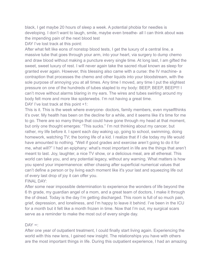black, I get maybe 20 hours of sleep a week. A potential phobia for needles is developing. I don't want to laugh, smile, maybe even breathe- all I can think about was the impending pain of the next blood test

DAY I've lost track at this point:

After what felt like eons of nonstop blood tests, I get the luxury of a central line, a massive tube that goes through your arm, into your heart, via surgery to dump chemo and draw blood without making a puncture every single time. At long last, I am gifted the sweet, sweet luxury of rest. I will never again take the sacred ritual known as sleep for granted ever again. However, this blessing also came with a curse: the IV machine- a contraption that processes the chemo and other liquids into your bloodstream, with the sole purpose of annoying you at all times. Any time I moved, any time I put the slightest pressure on one of the hundreds of tubes stapled to my body: BEEP, BEEP, BEEP!!! I can't move without alarms blaring in my ears. The wires and tubes swirling around my body felt more and more like spiderwebs. I'm not having a great time. DAY I've lost track at this point +1:

This is it. This is the week where everyone- doctors, family members, even myselfthinks it's over. My health has been on the decline for a while, and it seems like it's time for me to go. There are so many things that could have gone through my head at that moment, but only one thought emerges: "This sucks." I'm not thinking about my cancer, but rather, my life before it. I spent each day waking up, going to school, swimming, doing homework, watching TV; the boring life of a kid. I realize that if I die today my life would have amounted to nothing. "Well if good grades and exercise aren't going to do it for me, what will?" I had an epiphany: what's most important in life are the things that aren't meant to last. Joy, laughter, a nice TV show, or a delicious meal, are all ethereal. This world can take you, and any potential legacy, without any warning. What matters is how you spend your impermanence: either chasing after superficial numerical values that can't define a person or by living each moment like it's your last and squeezing life out of every last drop of joy it can offer you.

FINAL DAY<sup>.</sup>

After some near impossible determination to experience the wonders of life beyond the 6 th grade, my guardian angel of a mom, and a great team of doctors, I make it through the of dread. Today is the day I'm getting discharged. This room is full of so much pain, grief, depression, and loneliness, and I'm happy to leave it behind. I've been in the ICU for a month but it felt like a month frozen in time. Now that I'm out, my surgical scars serve as a reminder to make the most out of every single day.

#### DAY ∞:

After one year of outpatient treatment, I could finally start living again. Experiencing the world with this new lens, I gained new insight. The relationships you have with others are the most important things in life. During this outpatient experience, I had an amazing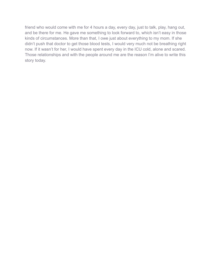friend who would come with me for 4 hours a day, every day, just to talk, play, hang out, and be there for me. He gave me something to look forward to, which isn't easy in those kinds of circumstances. More than that, I owe just about everything to my mom. If she didn't push that doctor to get those blood tests, I would very much not be breathing right now. If it wasn't for her, I would have spent every day in the ICU cold, alone and scared. Those relationships and with the people around me are the reason I'm alive to write this story today.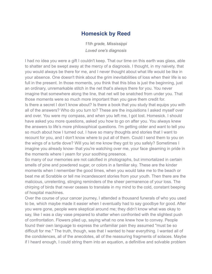#### **Homesick by Reed**

*11th grade, Mississippi Loved one's diagnosis*

<span id="page-23-0"></span>I had no idea you were a gift I couldn't keep. That our time on this earth was glass, able to shatter and be swept away at the mercy of a diagnosis. I thought, in my naivety, that you would always be there for me, and I never thought about what life would be like in your absence. One doesn't think about the grim inevitabilities of loss when their life is so full in the present. In those moments, you think that this bliss is just the beginning, just an ordinary, unremarkable stitch in the net that's always there for you. You never imagine that somewhere along the line, that net will be snatched from under you. That those moments were so much more important than you gave them credit for. Is there a secret I don't know about? Is there a book that you study that equips you with all of the answers? Who do you turn to? These are the inquisitions I asked myself over and over. You were my compass, and when you left me, I got lost. Homesick. I should have asked you more questions, asked you how to go on after you. You always knew the answers to life's more philosophical questions. I'm getting older and want to tell you so much about how I turned out. I have so many thoughts and stories that I want to recount for you, and I don't know where to put all of them. Could I send them to you on the wings of a turtle dove? Will you let me know they got to you safely? Sometimes I imagine you already know- that you're watching over me, your face gleaming in pride in the moments where I yearn for your soothing presence.

So many of our memories are not calcified in photographs, but immortalized in certain smells of pine and powdered sugar, or colors in a familiar sky. These are the kinder moments when I remember the good times, when you would take me to the beach or beat me at Scrabble or tell me incandescent stories from your youth. Then there are the malicious, unrelenting, stinging reminders of the sheer permanence of your loss. The chirping of birds that never ceases to translate in my mind to the cold, constant beeping of hospital machines.

Over the course of your cancer journey, I attended a thousand funerals of who you used to be, which maybe made it easier when I eventually had to say goodbye for good. After you were gone, people were skeptical around me; they didn't know what was okay to say, like I was a clay vase prepared to shatter when confronted with the slightest push of confrontation. Flowers piled up, saying what no one knew how to convey. People found their own language to express the unfamiliar pain they assumed "must be so difficult for me." The truth, though, was that I wanted to hear everything. I wanted all of the condolences, all of the anecdotes, all of the reassuring fragments of solaces. Maybe if I heard enough, I could string them into an equation, a definitive and solvable problem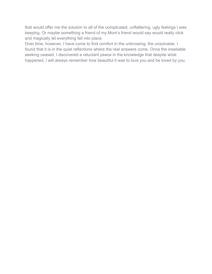that would offer me the solution to all of the complicated, unflattering, ugly feelings I was keeping. Or maybe something a friend of my Mom's friend would say would really click and magically let everything fall into place.

Over time, however, I have come to find comfort in the unknowing, the unsolvable. I found that it is in the quiet reflections where the real answers come. Once the insatiable seeking ceased, I discovered a reluctant peace in the knowledge that despite what happened, I will always remember how beautiful it was to love you and be loved by you.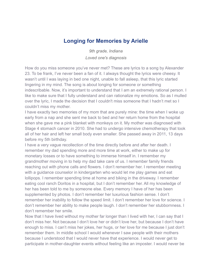### **Longing for Memories by Arielle**

*9th grade, Indiana Loved one's diagnosis*

<span id="page-25-0"></span>How do you miss someone you've never met? These are lyrics to a song by Alexander 23. To be frank, I've never been a fan of it. I always thought the lyrics were cheesy. It wasn't until I was laying in bed one night, unable to fall asleep, that this lyric started lingering in my mind. The song is about longing for someone or something indescribable. Now, it's important to understand that I am an extremely rational person. I like to make sure that I fully understand and can rationalize my emotions. So as I mulled over the lyric, I made the decision that I couldn't miss someone that I hadn't met so I couldn't miss my mother.

I have exactly two memories of my mom that are purely mine: the time when I woke up early from a nap and she sent me back to bed and her return home from the hospital when she gave me a pink blanket with monkeys on it. My mother was diagnosed with Stage 4 stomach cancer in 2010. She had to undergo intensive chemotherapy that took all of her hair and left her small body even smaller. She passed away in 2011, 13 days before my 5th birthday.

I have a very vague recollection of the time directly before and after her death. I remember my dad spending more and more time at work, either to make up for monetary losses or to have something to immerse himself in. I remember my grandmother moving in to help my dad take care of us. I remember family friends reaching out with phone calls and flowers. I don't remember her. I remember meeting with a guidance counselor in kindergarten who would let me play games and eat lollipops. I remember spending time at home and biking in the driveway. I remember eating cool ranch Doritos in a hospital, but I don't remember her. All my knowledge of her has been told to me by someone else. Every memory I have of her has been supplemented by photos. I don't remember her luxurious fashion sense. I don't remember her inability to follow the speed limit. I don't remember her love for science. I don't remember her ability to make people laugh. I don't remember her stubbornness. I don't remember her smile.

Now that I have lived without my mother far longer than I lived with her, I can say that I don't miss her. Not because I don't love her or didn't love her, but because I don't have enough to miss. I can't miss her jokes, her hugs, or her love for me because I just don't remember them. In middle school I would whenever I saw people with their mothers because I understood that I would never have that experience. I would never get to participate in mother-daughter events without feeling like an imposter. I would never be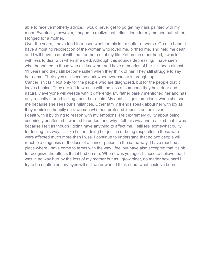able to receive motherly advice. I would never get to go get my nails painted with my mom. Eventually, however, I began to realize that I didn't long for my mother, but rather, I longed for a mother.

Over the years, I have tried to reason whether this is for better or worse. On one hand, I have almost no recollection of the woman who loved me, birthed me, and held me dear and I will have to deal with that for the rest of my life. Yet on the other hand, I was left with less to deal with when she died. Although this sounds depressing, I have seen what happened to those who did know her and have memories of her. It's been almost 11 years and they still become sullen when they think of her. They still struggle to say her name. Their eyes still become dark whenever cancer is brought up.

Cancer isn't fair. Not only for the people who are diagnosed, but for the people that it leaves behind. They are left to wrestle with the loss of someone they held dear and naturally everyone will wrestle with it differently. My father barely mentioned her and has only recently started talking about her again. My aunt still gets emotional when she sees me because she sees our similarities. Other family friends speak about her with joy as they reminisce happily on a woman who had profound impacts on their lives. I dealt with it by trying to reason with my emotions. I felt extremely guilty about being seemingly unaffected. I wanted to understand why I felt this way and realized that it was because I felt as though I didn't have anything to affect me. I still feel somewhat guilty for feeling this way. It's like I'm not doing her justice or being respectful to those who were affected much more than I was. I continue to understand that no two people will react to a diagnosis or the loss of a cancer patient in the same way. I have reached a place where I have come to terms with the way I feel but have also accepted that it's ok to recognize the effects that it had on me. When I was younger, I chose to believe that I was in no way hurt by the loss of my mother but as I grow older, no matter how hard I

try to be unaffected, my eyes will still water when I think about what could've been.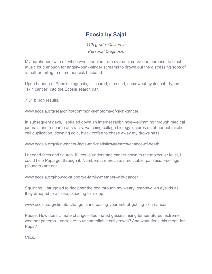## **Ecosia by Sajal**

*11th grade, California Personal Diagnosis*

<span id="page-27-0"></span>My earphones, with off-white wires tangled from overuse, serve one purpose: to blast music loud enough for angsty-punk-singer screams to drown out the distressing sobs of a mother failing to nurse her sick husband.

Upon hearing of Papa's diagnosis, I—scared, stressed, somewhat hysterical—typed "skin cancer" into the Ecosia search bar.

7.31 billion results.

www.ecosia.org/search?q=common-symptoms-of-skin-cancer

In subsequent days, I spiraled down an internet rabbit hole—skimming through medical journals and research abstracts, watching college biology lectures on abnormal mitotic cell duplication, downing cold, black coffee to chase away my drowsiness.

www.ecosia.org/skin-cancer-facts-and-statistics/#search/chance-of-death

I needed facts and figures. If I could understand cancer down to the molecular level, I could help Papa get through it. Numbers are precise, predictable, painless. Feelings (shudder) are not.

www.ecosia.org/how-to-support-a-family-member-with-cancer

Squinting, I struggled to decipher the text through my weary, tear-swollen eyelids as they drooped to a close, pleading for sleep.

www.ecosia.org/climate-change-is-increasing-your-risk-of-getting-skin-cancer

Pause. How does climate change—fluorinated gasses, rising temperatures, extreme weather patterns—correlate to uncontrollable cell growth? And what does this mean for Papa?

Click.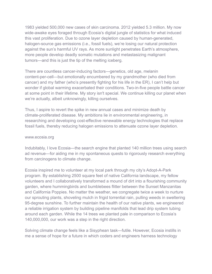1983 yielded 500,000 new cases of skin carcinoma. 2012 yielded 5.3 million. My now wide-awake eyes foraged through Ecosia's digital jungle of statistics for what induced this vast proliferation. Due to ozone layer depletion caused by human-generated, halogen-source gas emissions (i.e., fossil fuels), we're losing our natural protection against the sun's harmful UV rays. As more sunlight penetrates Earth's atmosphere, more people develop deadly somatic mutations and metastasizing malignant tumors—and this is just the tip of the melting iceberg.

There are countless cancer-inducing factors—genetics, old age, melanin content-per-cell—but emotionally encumbered by my grandmother (who died from cancer) and my father (who's presently fighting for his life in the ER), I can't help but wonder if global warming exacerbated their conditions. Two-in-five people battle cancer at some point in their lifetime. My story isn't special. We continue killing our planet when we're actually, albeit unknowingly, killing ourselves.

Thus, I aspire to revert the spike in new annual cases and minimize death by climate-proliferated disease. My ambitions lie in environmental engineering, in researching and developing cost-effective renewable energy technologies that replace fossil fuels, thereby reducing halogen emissions to attenuate ozone layer depletion.

#### www.ecosia.org

Indubitably, I love Ecosia—the search engine that planted 140 million trees using search ad revenue—for aiding me in my spontaneous quests to rigorously research everything from carcinogens to climate change.

Ecosia inspired me to volunteer at my local park through my city's Adopt-A-Park program. By establishing 2500 square feet of native California landscape, my fellow volunteers and I collaboratively transformed a mound of dirt into a flourishing community garden, where hummingbirds and bumblebees flitter between the Sunset Manzanitas and California Poppies. No matter the weather, we congregate twice a week to nurture our sprouting plants, shoveling mulch in frigid torrential rain, pulling weeds in sweltering 95-degree sunshine. To further maintain the health of our native plants, we engineered a reliable irrigation system by building pipeline manifolds that lead drip system tubing around each garden. While the 14 trees we planted pale in comparison to Ecosia's 140,000,000, our work was a step in the right direction.

Solving climate change feels like a Sisyphean task—futile. However, Ecosia instills in me a sense of hope for a future in which coders and engineers harness technology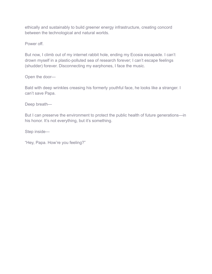ethically and sustainably to build greener energy infrastructure, creating concord between the technological and natural worlds.

Power off.

But now, I climb out of my internet rabbit hole, ending my Ecosia escapade. I can't drown myself in a plastic-polluted sea of research forever; I can't escape feelings (shudder) forever. Disconnecting my earphones, I face the music.

Open the door—

Bald with deep wrinkles creasing his formerly youthful face, he looks like a stranger. I can't save Papa.

Deep breath—

But I can preserve the environment to protect the public health of future generations—in his honor. It's not everything, but it's something.

Step inside—

"Hey, Papa. How're you feeling?"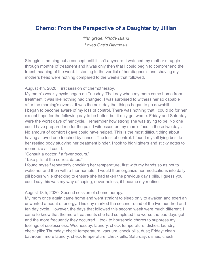## <span id="page-30-0"></span>**Chemo: From the Perspective of a Daughter by Jillian**

*11th grade, Rhode Island Loved One's Diagnosis*

Struggle is nothing but a concept until it isn't anymore. I watched my mother struggle through months of treatment and it was only then that I could begin to comprehend the truest meaning of the word. Listening to the verdict of her diagnosis and shaving my mothers head were nothing compared to the weeks that followed.

August 4th, 2020: First session of chemotherapy.

My mom's weekly cycle began on Tuesday. That day when my mom came home from treatment it was like nothing had changed. I was surprised to witness her so capable after the morning's events. It was the next day that things began to go downhill. I began to become aware of my loss of control. There was nothing that I could do for her except hope for the following day to be better, but it only got worse. Friday and Saturday were the worst days of her cycle. I remember how strong she was trying to be. No one could have prepared me for the pain I witnessed on my mom's face in those two days. No amount of comfort I gave could have helped. This is the most difficult thing about having a loved one touched by cancer. The loss of control. I found myself lying beside her resting body studying her treatment binder. I took to highlighters and sticky notes to memorize all I could.

"Consult a doctor if a fever occurs."

"Take pills at the correct dates."

I found myself repeatedly checking her temperature, first with my hands so as not to wake her and then with a thermometer. I would then organize her medications into daily pill boxes while checking to ensure she had taken the previous day's pills. I guess you could say this was my way of coping, nevertheless, it became my routine.

August 18th, 2020: Second session of chemotherapy.

My mom once again came home and went straight to sleep only to awaken and exert an unwonted amount of energy. This day marked the second round of the two hundred and ten day cycle. However, the days that followed this second week were much different. I came to know that the more treatments she had completed the worse the bad days got and the more frequently they occurred. I took to household chores to suppress my feelings of uselessness. Wednesday: laundry, check temperature, dishes, laundry, check pills; Thursday: check temperature, vacuum, check pills, dust; Friday: clean bathroom, more laundry, check temperature, check pills; Saturday: dishes, check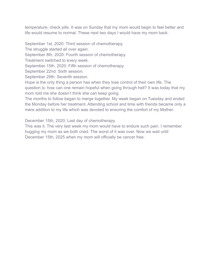temperature, check pills. It was on Sunday that my mom would begin to feel better and life would resume to normal. These next two days I would have my mom back.

September 1st, 2020: Third session of chemotherapy.

The struggle started all over again.

September 8th, 2020: Fourth session of chemotherapy.

Treatment switched to every week.

September 15th, 2020: Fifth session of chemotherapy.

September 22nd: Sixth session.

September 29th: Seventh session.

Hope is the only thing a person has when they lose control of their own life. The question is: how can one remain hopeful when going through hell? It was today that my mom told me she doesn't think she can keep going.

The months to follow began to merge together. My week began on Tuesday and ended the Monday before her treatment. Attending school and time with friends became only a mere addition to my life which was devoted to ensuring the comfort of my Mother.

December 15th, 2020: Last day of chemotherapy.

This was it. The very last week my mom would have to endure such pain. I remember hugging my mom as we both cried. The worst of it was over. Now we wait until December 15th, 2025 when my mom will officially be cancer free.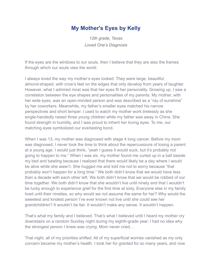### **My Mother's Eyes by Kelly**

*12th grade, Texas Loved One's Diagnosis*

<span id="page-32-0"></span>If the eyes are the windows to our souls, then I believe that they are also the frames through which our souls view the world.

I always loved the way my mother's eyes looked. They were large, beautiful, almond-shaped, with crow's feet on the edges that only develop from years of laughter. However, what I admired most was that her eyes fit her personality. Growing up, I saw a correlation between the eye shapes and personalities of my parents. My mother, with her wide eyes, was an open-minded person and was described as a "ray of sunshine" by her coworkers. Meanwhile, my father's smaller eyes matched his narrow perspectives and short temper. I used to watch my mother work tirelessly as she single-handedly raised three young children while my father was away in China. She found strength in humility, and I was proud to inherit her loving eyes. To me, our matching eyes symbolized our everlasting bond.

When I was 13, my mother was diagnosed with stage 4 lung cancer. Before my mom was diagnosed, I never took the time to think about the repercussions of losing a parent at a young age. I would just think, "yeah I guess it would suck, but it's probably not going to happen to me." When I was six, my mother found me curled up in a ball beside my bed and bawling because I realized that there would likely be a day where I would be alive while she wasn't. She hugged me and told me not to worry because "that probably won't happen for a long time." We both didn't know that we would have less than a decade with each other left. We both didn't know that we would be robbed of our time together. We both didn't know that she wouldn't live until ninety and that I wouldn't be lucky enough to experience grief for the first time at sixty. Everyone else in my family lived until their nineties, so why would we not assume the same for her? Why would the sweetest and kindest person I've ever known not live until she could see her grandchildren? It wouldn't be fair. It wouldn't make any sense. It wouldn't happen.

That's what my family and I believed. That's what I believed until I heard my mother cry downstairs on a random Sunday night during my eighth-grade year. I had no idea why the strongest person I knew was crying. Mom never cried…

That night, all of my priorities shifted. All of my superficial worries vanished as my only concern became my mother's health. I took her for granted for so many years, and now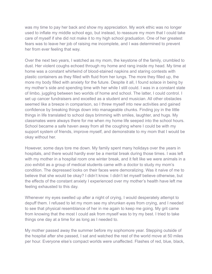was my time to pay her back and show my appreciation. My work ethic was no longer used to inflate my middle school ego, but instead, to reassure my mom that I could take care of myself if she did not make it to my high school graduation. One of her greatest fears was to leave her job of raising me incomplete, and I was determined to prevent her from ever feeling that way.

Over the next two years, I watched as my mom, the keystone of the family, crumbled to dust. Her violent coughs echoed through my home and rang inside my head. My time at home was a constant whirlwind of blood-stained napkins and staring contests with plastic containers as they filled with fluid from her lungs. The more they filled up, the more my body filled with anxiety for the future. Despite it all, I found solace in being by my mother's side and spending time with her while I still could. I was in a constant state of limbo, juggling between two worlds of home and school. The latter, I could control. I set up cancer fundraisers and excelled as a student and musician. All other obstacles seemed like a breeze in comparison, so I threw myself into new activities and gained confidence by breaking things down into manageable chunks. Finding joy in the little things in life translated to school days brimming with smiles, laughter, and hugs. My classmates were always there for me when my home life seeped into the school hours. School became a safe haven away from all the coughing where I could be with my support system of friends, improve myself, and demonstrate to my mom that I would be okay without her.

However, some days tore me down. My family spent many holidays over the years in hospitals, and there would hardly ever be a mental break during those times. I was left with my mother in a hospital room one winter break, and it felt like we were animals in a zoo exhibit as a group of medical students came with a doctor to study my mom's condition. The depressed looks on their faces were demoralizing. Was it naive of me to believe that she would be okay? I didn't know. I didn't let myself believe otherwise, but the effects of the constant anxiety I experienced over my mother's health have left me feeling exhausted to this day.

Whenever my eyes swelled up after a night of crying, I would desperately attempt to depuff them. I refused to let my mom see my shrunken eyes from crying, and I needed to see that physical resemblance of her in me again to keep me going. My grit came from knowing that the most I could ask from myself was to try my best. I tried to take things one day at a time for as long as I needed to.

My mother passed away the summer before my sophomore year. Stepping outside of the hospital after she passed, I sat and watched the rest of the world move at 50 miles per hour. Everyone else's compact worlds were unaffected. Flashes of red, blue, black,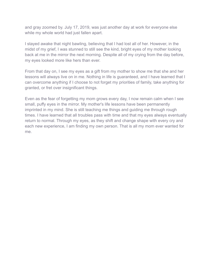and gray zoomed by. July 17, 2019, was just another day at work for everyone else while my whole world had just fallen apart.

I stayed awake that night bawling, believing that I had lost all of her. However, in the midst of my grief, I was stunned to still see the kind, bright eyes of my mother looking back at me in the mirror the next morning. Despite all of my crying from the day before, my eyes looked more like hers than ever.

From that day on, I see my eyes as a gift from my mother to show me that she and her lessons will always live on in me. Nothing in life is guaranteed, and I have learned that I can overcome anything if I choose to not forget my priorities of family, take anything for granted, or fret over insignificant things.

Even as the fear of forgetting my mom grows every day, I now remain calm when I see small, puffy eyes in the mirror. My mother's life lessons have been permanently imprinted in my mind. She is still teaching me things and guiding me through rough times. I have learned that all troubles pass with time and that my eyes always eventually return to normal. Through my eyes, as they shift and change shape with every cry and each new experience, I am finding my own person. That is all my mom ever wanted for me.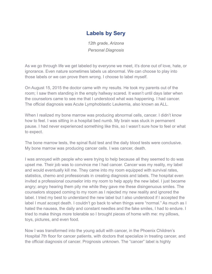## **Labels by Sery**

*12th grade, Arizona Personal Diagnosis*

<span id="page-35-0"></span>As we go through life we get labeled by everyone we meet, it's done out of love, hate, or ignorance. Even nature sometimes labels us abnormal. We can choose to play into those labels or we can prove them wrong. I choose to label myself.

On August 15, 2015 the doctor came with my results. He took my parents out of the room; I saw them standing in the empty hallway scared. It wasn't until days later when the counselors came to see me that I understood what was happening. I had cancer. The official diagnosis was Acute Lymphoblastic Leukemia, also known as ALL.

When I realized my bone marrow was producing abnormal cells, cancer. I didn't know how to feel. I was sitting in a hospital bed numb. My brain was stuck in permanent pause. I had never experienced something like this, so I wasn't sure how to feel or what to expect.

The bone marrow tests, the spinal fluid test and the daily blood tests were conclusive. My bone marrow was producing cancer cells. I was cancer, death.

I was annoyed with people who were trying to help because all they seemed to do was upset me. Their job was to convince me I had cancer. Cancer was my reality, my label and would eventually kill me. They came into my room equipped with survival rates, statistics, chemo and professionals in creating diagnosis and labels. The hospital even invited a professional counselor into my room to help apply the new label. I just became angry; angry hearing them pity me while they gave me these disingenuous smiles. The counselors stopped coming to my room as I rejected my new reality and ignored the label. I tried my best to understand the new label but I also understood if I accepted the label I must accept death. I couldn't go back to when things were "normal." As much as I hated the nausea, the daily and constant needles and the fake smiles, I had to endure. I tried to make things more tolerable so I brought pieces of home with me: my pillows, toys, pictures, and even food.

Now I was transformed into the young adult with cancer, in the Phoenix Children's Hospital 7th floor for cancer patients, with doctors that specialize in treating cancer, and the official diagnosis of cancer. Prognosis unknown. The "cancer" label is highly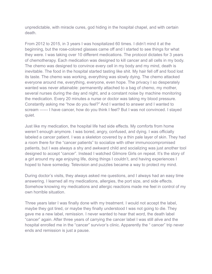unpredictable, with miracle cures, god hiding in the hospital chapel, and with certain death.

From 2012 to 2015, in 3 years I was hospitalized 60 times. I didn't mind it at the beginning, but the rose-colored glasses came off and I started to see things for what they were. I was taking over 10 different medications. The protocol dictates for 3 years of chemotherapy. Each medication was designed to kill cancer and all cells in my body. The chemo was designed to convince every cell in my body and my mind, death is inevitable. The food in the hospital started tasting like shit. My hair fell off and food lost its taste. The chemo was working, everything was slowly dying. The chemo attacked everyone around me, everything, everyone, even hope. The privacy I so desperately wanted was never attainable: permanently attached to a bag of chemo, my mother, several nurses during the day and night, and a constant noise by machine monitoring the medication. Every 20 minutes a nurse or doctor was taking my blood pressure. Constantly asking me "how do you feel?" And I wanted to answer and I wanted to scream —--- I have cancer, how do you think I feel? But I was not convinced. I stayed quiet.

Just like my medication, the hospital life had side effects. My comforts from home weren't enough anymore. I was bored, angry, confused, and dying. I was officially labeled a cancer patient. I was a skeleton covered by a thin pale layer of skin. They had a room there for the "cancer patients" to socialize with other immunocompromised patients, but I was always a shy and awkward child and socializing was just another tool designed to accept "cancer". Instead I watched Gilmore Girls on repeat. It's the story of a girl around my age enjoying life, doing things I couldn't, and having experiences I hoped to have someday. Television and puzzles became a way to protect my mind.

During doctor's visits, they always asked me questions, and I always had an easy time answering. I learned all my medications, allergies, the port size, and side effects. Somehow knowing my medications and allergic reactions made me feel in control of my own horrible situation.

Three years later I was finally done with my treatment. I would not accept the label, maybe they got tired, or maybe they finally understood I was not going to die. They gave me a new label, remission. I never wanted to hear that word, the death label "cancer" again. After three years of carrying the cancer label I was still alive and the hospital enrolled me in the "cancer" survivor's clinic. Apparently the " cancer" trip never ends and remission is just a pause.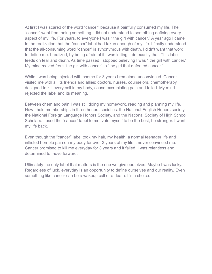At first I was scared of the word "cancer" because it painfully consumed my life. The "cancer" went from being something I did not understand to something defining every aspect of my life. For years, to everyone I was " the girl with cancer." A year ago I came to the realization that the "cancer" label had taken enough of my life. I finally understood that the all-consuming word "cancer" is synonymous with death. I didn't want that word to define me. I realized, by being afraid of it I was letting it do exactly that. This label feeds on fear and death. As time passed I stopped believing I was " the girl with cancer." My mind moved from "the girl with cancer" to "the girl that defeated cancer."

While I was being injected with chemo for 3 years I remained unconvinced. Cancer visited me with all its friends and allies; doctors, nurses, counselors, chemotherapy designed to kill every cell in my body, cause excruciating pain and failed. My mind rejected the label and its meaning.

Between chem and pain I was still doing my homework, reading and planning my life. Now I hold memberships in three honors societies: the National English Honors society, the National Foreign Language Honors Society, and the National Society of High School Scholars. I used the "cancer" label to motivate myself to be the best, be stronger. I want my life back.

Even though the "cancer" label took my hair, my health, a normal teenager life and inflicted horrible pain on my body for over 3 years of my life it never convinced me. Cancer promised to kill me everyday for 3 years and it failed. I was relentless and determined to move forward.

Ultimately the only label that matters is the one we give ourselves. Maybe I was lucky. Regardless of luck, everyday is an opportunity to define ourselves and our reality. Even something like cancer can be a wakeup call or a death. It's a choice.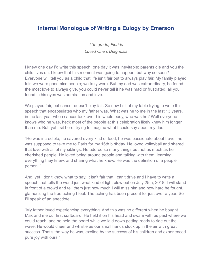#### <span id="page-38-0"></span>**Internal Monologue of Writing a Eulogy by Emerson**

*11th grade, Florida Loved One's Diagnosis*

I knew one day I'd write this speech, one day it was inevitable; parents die and you the child lives on. I knew that this moment was going to happen, but why so soon? Everyone will tell you as a child that life isn't fair but to always play fair. My family played fair, we were good nice people; we truly were. But my dad was extraordinary, he found the most love to always give, you could never tell if he was mad or frustrated, all you found in his eyes was admiration and love.

We played fair, but cancer doesn't play fair. So now I sit at my table trying to write this speech that encapsulates who my father was. What was he to me in the last 13 years, in the last year when cancer took over his whole body, who was he? Well everyone knows who he was, heck most of the people at this celebration likely knew him longer than me. But, yet I sit here, trying to imagine what I could say about my dad.

"He was incredible, he savored every kind of food, he was passionate about travel; he was supposed to take me to Paris for my 16th birthday. He loved volleyball and shared that love with all of my siblings. He adored so many things but not as much as he cherished people. He loved being around people and talking with them, learning everything they knew, and sharing what he knew. He was the definition of a people person. "

And, yet I don't know what to say. It isn't fair that I can't drive and I have to write a speech that tells the world just what kind of light blew out on July 25th, 2018. I will stand in front of a crowd and tell them just how much I will miss him and how hard he fought, glamorizing the true aching I feel. The aching has been present for just over a year. So I'll speak of an anecdote;

"My father loved experiencing everything. And this was no different when he bought Max and me our first surfboard. He held it on his head and swam with us past where we could reach, and he held the board while we laid down getting ready to ride out the wave. He would cheer and whistle as our small hands stuck up in the air with great success. That's the way he was, excited by the success of his children and experienced pure joy with ours."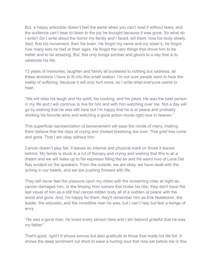But, a happy anecdote doesn't feel the same when you can't read it without tears, and the audience can't bear to listen to the joy he brought because it was gone. So what do I write? Do I write about the horror my family and I faced, tell them: how his body slowly died, first his movement, then his brain. He forgot my name and my sister's, he forgot how many kids he had or their ages. He forgot the very things that drove him to be better and to be amazing. But, this only brings somber and gloom to a day that is to celebrate his life.

13 years of memories, laughter and family all burdened to nothing but sadness, all these emotions I have to fit into this small oration. I'm not sure people want to hear the reality of suffering, because it will only hurt more, so I write what everyone wants to hear:

"We will miss his laugh and his spirit, his cooking, and his jokes. He was the best person in my life and I will continue to live for him and with him watching over me. Not a day will go by wishing that he was still here but I'm happy that he is at peace and probably drinking his favorite wine and watching a good action movie right now in heaven."

This superficial representation of bereavement will ease the minds of many, making them believe that the days of crying and choked breathing are over. That grief has come and gone. That I am okay without him.

Cancer doesn't play fair, it leaves an internal and physical mark on those it leaves behind. My family is stuck in a rut of therapy and crying and wishing that this is all a dream and we will wake up to his espresso filling the air and his weird love of Lana Del Ray evident on the speakers. From the outside, we are okay, we have dealt with the aching in our hearts, and we are pushing forward with life.

They will never feel the pressure upon my chest with the screaming cries at night as cancer damages him, or the limping from tumors that broke his ribs, they don't have the last visual of him as a still frail cancer-ridden body all of a sudden at peace with the world and gone. And, I'm happy for them, they'll remember him as Erik Noteboom, the leader, the educator, and the incredible man he was, but I can't help but feel a twinge of envy.

"He was a good man, he loved every person here and I am beyond grateful that he was my father."

That's good, right? It shows sorrow but also gratitude to those that made his life full. It shows the deep sentiment cut short to ease a hurting soul that now sat before me in this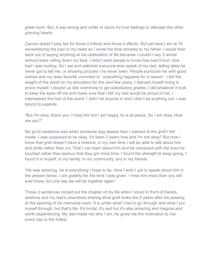great room. But, it was wrong and unfair to cloud my true feelings to alleviate the other grieving hearts.

Cancer doesn't play fair for those it infects and those it affects. But yet here I am at 16 remembering the pain in my heart as I wrote the final remarks to my father. I would then back out of saying anything at his celebration of life because I couldn't say 3 words without tears rolling down my face. I didn't want people to know how bad it hurt, how bad I was hurting. So I sat and watched everyone else speak of my dad, telling tales he never got to tell me, or showing pictures I've never seen. People surround me with good wishes and my least favorite comment is " everything happens for a reason". I felt the weight of the world on my shoulders for the next few years, I starved myself trying to prove myself, I stayed up late cramming to get satisfactory grades. I did whatever it took to keep the eyes off me and make sure that I felt my dad would be proud of me. I internalized the hurt of the world, I didn't let anyone in and I didn't let anything out. I was bound to explode.

"But I'm okay, thank you. I miss him but I am happy he is at peace. So I am okay. How are you?"

My go-to sentence was when someone dug deeper than I wanted at the grief I felt inside. I was supposed to be okay, it's been 2 years now and I'm not okay? But now I know that grief doesn't have a timeline, in my own time I will be able to talk about him and smile rather than cry. That I can learn about him and be overjoyed with the lives he touched rather than jealous that they got more time. I found the strength to keep going, I found it in myself, in my family, in my community, and in my friends.

"He was amazing, he is everything I hope to be. How I wish I got to speak about him in the present tense. I am grateful for the time I was given. I miss him more than you will ever know, but one day we will be together again"

Those 3 sentences closed out the chapter of my life when I stood in front of friends, relatives and my dad's coworkers sharing what grief looks like 5 years after his passing at the opening of his memorial room. It is unfair what I had to go through and what I put myself through, but that's life. It's brutal, it's sad but it's also amazing and magical and worth experiencing. My dad made me who I am, he gives me the motivation to live every day to the fullest.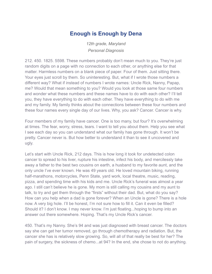## **Enough is Enough by Dena**

*12th grade, Maryland Personal Diagnosis*

<span id="page-41-0"></span>212. 450. 1825. 5598. These numbers probably don't mean much to you. They're just random digits on a page with no connection to each other, or anything else for that matter. Harmless numbers on a blank piece of paper. Four of them. Just sitting there. Your eyes just scroll by them. So uninteresting. But, what if I wrote those numbers a different way? What if instead of numbers I wrote names: Uncle Rick, Nanny, Papap, me? Would that mean something to you? Would you look at those same four numbers and wonder what these numbers and these names have to do with each other? I'll tell you, they have everything to do with each other. They have everything to do with me and my family. My family thinks about the connections between these four numbers and these four names every single day of our lives. Why, you ask? Cancer. Cancer is why.

Four members of my family have cancer. One is too many, but four? It's overwhelming at times. The fear, worry, stress, tears. I want to tell you about them. Help you see what I see each day so you can understand what our family has gone through. It won't be pretty. Cancer never is. But how better to understand it than to see it uncovered and ugly.

Let's start with Uncle Rick, 212 days. This is how long it took for undetected colon cancer to spread to his liver, rupture his intestine, infect his body, and mercilessly take away a father to the best two cousins on earth, a husband to my favorite aunt, and the only uncle I've ever known. He was 49 years old. He loved mountain biking, running half-marathons, motorcycles, Penn State, yard work, local theatre, music, reading, pizza, and spending time with his kids and me. Uncle Rick's funeral was almost a year ago. I still can't believe he is gone. My mom is still calling my cousins and my aunt to talk, to try and get them through the "firsts" without their dad. But, what do you say? How can you help when a dad is gone forever? When an Uncle is gone? There is a hole now. A very big hole. I'll be honest, I'm not sure how to fill it. Can it even be filled? Should it? I don't know. I may never know. I'm just floating...hoping to bump into an answer out there somewhere. Hoping. That's my Uncle Rick's cancer.

450. That's my Nanny. She's 94 and was just diagnosed with breast cancer. The doctors say she can get her tumor removed, go through chemotherapy and radiation. But, the cancer she has is relatively slow growing. So, will all of that really be best for her? The pain of surgery, the sickness of chemo...at 94? In the end, she chose to not do anything.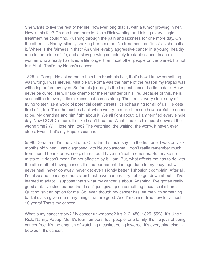She wants to live the rest of her life, however long that is, with a tumor growing in her. How is this fair? On one hand there is Uncle Rick wanting and taking every single treatment he could find. Pushing through the pain and sickness for one more day. On the other sits Nanny, silently shaking her head no. No treatment, no "fuss" as she calls it. Where is the fairness in that? An unbelievably aggressive cancer in a young, healthy man in the prime of life, and a slow growing completely treatable cancer in an old woman who already has lived a life longer than most other people on the planet. It's not fair. At all. That's my Nanny's cancer.

1825, is Papap. He asked me to help him brush his hair, that's how I knew something was wrong. I was eleven. Multiple Myeloma was the name of the reason my Papap was withering before my eyes. So far, his journey is the longest cancer battle to date. He will never be cured. He will take chemo for the remainder of his life. Because of this, he is susceptible to every little sickness that comes along. The stress every single day of trying to sterilize a world of potential death threats, it's exhausting for all of us. He gets tired of it, too. Then he pushes back when we try to make him see how careful he needs to be. My grandma and him fight about it. We all fight about it. I am terrified every single day. Now COVID is here. It's like I can't breathe. What if he lets his guard down at the wrong time? Will I lose him, too? The watching, the waiting, the worry. It never, ever stops. Ever. That's my Papap's cancer.

5598, Dena, me, I'm the last one. Or, rather I should say I'm the first one! I was only six months old when I was diagnosed with Neuroblastoma. I don't really remember much from then. I hear stories, see pictures, but I have no "real" memories. But, make no mistake, it doesn't mean I'm not affected by it. I am. But, what affects me has to do with the aftermath of having cancer. It's the permanent damage done to my body that will never heal, never go away, never get even slightly better. I shouldn't complain. After all, I'm alive and so many others aren't that have cancer. I try not to get down about it. I've learned to adapt. I suppose that's what my cancer is about. Adapting. I've gotten really good at it. I've also learned that I can't just give up on something because it's hard. Quitting isn't an option for me. So, even though my cancer has left me with something bad, it's also given me many things that are good. And I'm cancer free now for almost 10 years! That's my cancer.

What is my cancer story? My cancer unwrapped? It's 212, 450, 1825, 5598. It's Uncle Rick, Nanny, Papap, Me. It's four numbers, four people, one family. It's the joys of being cancer free. It's the anguish of watching a casket being lowered. It's everything else in between. It's cancer.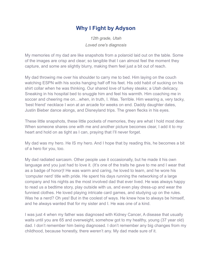## **Why I Fight by Adyson**

*12th grade, Utah Loved one's diagnosis*

<span id="page-43-0"></span>My memories of my dad are like snapshots from a polaroid laid out on the table. Some of the images are crisp and clear; so tangible that I can almost feel the moment they capture, and some are slightly blurry, making them feel just a bit out of reach.

My dad throwing me over his shoulder to carry me to bed. Him laying on the couch watching ESPN with his socks hanging half off his feet. His odd habit of sucking on his shirt collar when he was thinking. Our shared love of turkey steaks; a Utah delicacy. Sneaking in his hospital bed to snuggle him and feel his warmth. Him coaching me in soccer and cheering me on…when, in truth, I. Was. Terrible. Him wearing a, very tacky, 'best friend' necklace I won at an arcade for weeks on end. Daddy daughter dates, Justin Bieber dance alongs, and Disneyland trips. The green flecks in his eyes.

These little snapshots, these little pockets of memories, they are what I hold most dear. When someone shares one with me and another picture becomes clear, I add it to my heart and hold on as tight as I can, praying that I'll never forget.

My dad was my hero. He IS my hero. And I hope that by reading this, he becomes a bit of a hero for you, too.

My dad radiated sarcasm. Other people use it occasionally, but he made it his own language and you just had to love it. (It's one of the traits he gave to me and I wear that as a badge of honor)! He was warm and caring, he loved to learn, and he wore his 'computer nerd' title with pride. He spent his days running the networking of a large company and his nights as the most involved dad that ever lived. He was always happy to read us a bedtime story, play outside with us, and even play dress-up and wear the funniest clothes. He loved playing intricate card games, and studying up on the rules. Was he a nerd? Oh yes! But in the coolest of ways. He knew how to always be himself, and he always wanted that for my sister and I. He was one of a kind.

I was just 4 when my father was diagnosed with Kidney Cancer, A disease that usually waits until you are 65 and overweight, somehow got to my healthy, young (37 year old) dad. I don't remember him being diagnosed. I don't remember any big changes from my childhood, because honestly, there weren't any. My dad made sure of it.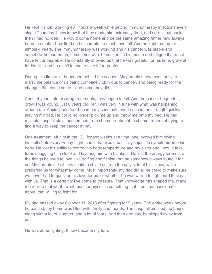He kept his job, working 40+ hours a week while getting immunotherapy injections every single Thursday. I now know that they made him extremely tired, and sore….but back then I had no idea. He would come home and be the same amazing father he'd always been, no matter how tired and miserable he must have felt. And he kept that up for almost 4 years. The immunotherapy was working and his cancer was stable and somehow he carried on; sometimes with 12 cankers in his mouth and fatigue that must have felt unbearable. He constantly showed us that he was grateful for his time, grateful for his life- and he didn't intend to take it for granted.

During this time a lot happened behind the scenes. My parents strove constantly to marry the balance of us being completely oblivious to cancer, and being ready for the changes that could come…and come they did.

About 4 years into his drug treatments, they began to fail. And the cancer began to grow. I was young, just 8 years old, but I was very in tune with what was happening around me. Anxiety and fear became my constants and I noticed the strength quickly leaving my dad. He could no longer pick me up and throw me onto my bed. He had multiple hospital stays and jumped from chemo treatment to chemo treatment trying to find a way to keep the cancer at bay.

One treatment left him in the ICU for two weeks at a time, one involved him giving himself shots every Friday night, shots that would basically 'inject flu symptoms' into his body. He lost his ability to control his body temperature and my sister and I would take turns snuggling him close and layering him with blankets. He lost the energy for most of the things he used to love, like golfing and fishing, but he somehow always found it for us. My parents did all they could to shield us from the ugly side of his illness, while preparing us for what may come. Most importantly, my dad did all he could to make sure we never had to question his love for us, or whether he was willing to fight hard to stay with us. That is a certainty I've come to treasure. That knowledge has shaped me, made me realize that what I want most for myself is something that I feel that passionate about, that willing to fight for.

My dad passed away October 11, 2013 after fighting for 9 years. The entire week before he passed, my home was filled with family and friends. The crisp fall air filled the house, along with a lot of laughter, and a lot of tears. And then one day, he slipped away from us.

He was done fighting. It now became my turn.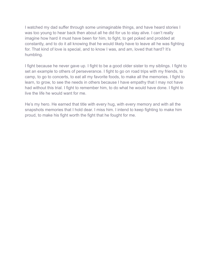I watched my dad suffer through some unimaginable things, and have heard stories I was too young to hear back then about all he did for us to stay alive. I can't really imagine how hard it must have been for him, to fight, to get poked and prodded at constantly, and to do it all knowing that he would likely have to leave all he was fighting for. That kind of love is special, and to know I was, and am, loved that hard? It's humbling.

I fight because he never gave up. I fight to be a good older sister to my siblings. I fight to set an example to others of perseverance. I fight to go on road trips with my friends, to camp, to go to concerts, to eat all my favorite foods, to make all the memories. I fight to learn, to grow, to see the needs in others because I have empathy that I may not have had without this trial. I fight to remember him, to do what he would have done. I fight to live the life he would want for me.

He's my hero. He earned that title with every hug, with every memory and with all the snapshots memories that I hold dear. I miss him. I intend to keep fighting to make him proud, to make his fight worth the fight that he fought for me.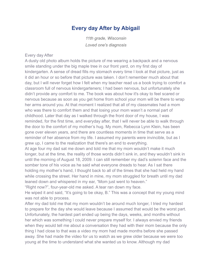#### **Every day After by Abigail**

*11th grade, Wisconsin Loved one's diagnosis*

#### <span id="page-46-0"></span>Every day After

A dusty old photo album holds the picture of me wearing a backpack and a nervous smile standing under the big maple tree in our front yard, on my first day of kindergarten. A sense of dread fills my stomach every time I look at that picture, just as it did an hour or so before that picture was taken. I don't remember much about that day, but I will never forget how I felt when my teacher read us a book trying to comfort a classroom full of nervous kindergarteners; I had been nervous, but unfortunately she didn't provide any comfort to me. The book was about how it's okay to feel scared or nervous because as soon as you get home from school your mom will be there to wrap her arms around you. At that moment I realized that all of my classmates had a mom who was there to comfort them and that losing your mom wasn't a normal part of childhood. Later that day as I walked through the front door of my house, I was reminded, for the first time, and everyday after, that I will never be able to walk through the door to the comfort of my mother's hug. My mom, Rebecca Lynn Klein, has been gone over eleven years, and there are countless moments in time that serve as a reminder of her absence from my life. I assumed my parents were invincible, but as I grew up, I came to the realization that there's an end to everything.

At age four my dad sat me down and told me that my mom wouldn't make it much longer, but at the time, the reality of those words didn't sink in, and they wouldn't sink in until the morning of August 18, 2009. I can still remember my dad's solemn face and the somber tone of his voice as he said what everyone dreads to hear. As I sat there holding my mother's hand, I thought back to all of the times that she had held my hand while crossing the street. Her hand in mine, my mom struggled for breath until my dad leaned down and whispered in my ear, "Mom just went to heaven."

"Right now?", four-year-old me asked. A tear ran down my face.

He wiped it and said, "It's going to be okay, B." This was a concept that my young mind was not able to process.

After my dad told me that my mom wouldn't be around much longer, I tried my hardest to prepare for the day she would leave because I assumed that would be the worst part. Unfortunately, the hardest part ended up being the days, weeks, and months without her which was something I could never prepare myself for. I always envied my friends when they would tell me about a conversation they had with their mom because the only thing I had close to that was a video my mom had made months before she passed away. She had made the video for us to watch as we grew older because we were too young at the time to understand what she wanted us to know. Although my dad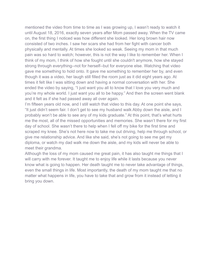mentioned the video from time to time as I was growing up, I wasn't ready to watch it until August 18, 2016, exactly seven years after Mom passed away. When the TV came on, the first thing I noticed was how different she looked. Her long brown hair now consisted of two inches. I saw her scars she had from her fight with cancer both physically and mentally. At times she looked so weak. Seeing my mom in that much pain was so hard to watch; however, this is not the way I like to remember her. When I think of my mom, I think of how she fought until she couldn't anymore, how she stayed strong through everything--not for herself--but for everyone else. Watching that video gave me something to hold onto. It gave me something to remember her by, and even though it was a video, her laugh still filled the room just as it did eight years ago. At times it felt like I was sitting down and having a normal conversation with her. She ended the video by saying, "I just want you all to know that I love you very much and you're my whole world. I just want you all to be happy." And then the screen went blank and it felt as if she had passed away all over again.

I'm fifteen years old now, and I still watch that video to this day. At one point she says, "It just didn't seem fair. I don't get to see my husband walk Abby down the aisle, and I probably won't be able to see any of my kids graduate." At this point, that's what hurts me the most, all of the missed opportunities and memories. She wasn't there for my first day of school. She wasn't there to help when I fell off my bike for the first time and scraped my knee. She's not here now to take me out driving, help me through school, or give me relationship advice. And like she said, she's not going to see me get my diploma, or watch my dad walk me down the aisle, and my kids will never be able to meet their grandma.

Although the loss of my mom caused me great pain, it has also taught me things that I will carry with me forever. It taught me to enjoy life while it lasts because you never know what is going to happen. Her death taught me to never take advantage of things, even the small things in life. Most importantly, the death of my mom taught me that no matter what happens in life, you have to take that and grow from it instead of letting it bring you down.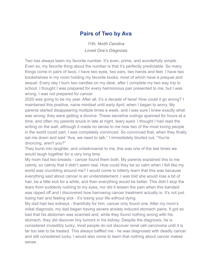#### **Pairs of Two by Ava**

*11th, North Carolina Loved One's Diagnosis*

<span id="page-48-0"></span>Two has always been my favorite number. It's even, prime, and wonderfully simple. Even so, my favorite thing about the number is that it's perfectly predictable. So many things come in pairs of twos; I have two eyes, two ears, two hands and feet. I have two bookshelves in my room holding my favorite books, most of which have a prequel and sequel. Every day I burn two candles on my desk, after I complete my two way trip to school. I thought I was prepared for every harmonious pair presented to me, but I was wrong. I was not prepared for cancer.

2020 was going to be my year. After all, it's a decade of twos! How could it go wrong? I maintained this positive, naive mindset until early April, when I began to worry. My parents started disappearing multiple times a week, and I was sure I knew exactly what was wrong; they were getting a divorce. These secretive outings spanned for hours at a time, and often my parents snuck in late at night, teary eyed. I thought I had read the writing on the wall; although it made no sense to me how two of the most loving people in the world could part, I was completely convinced. So convinced that, when they finally sat me down and said "Ava, we need to talk," I immediately blurted out, "You're divorcing, aren't you?"

They burst into laughter, and unbeknownst to me, this was one of the last times we would laugh together for a very long time.

My mom had two breasts - cancer found them both. My parents explained this to me calmly, so calmly that it didn't seem real. How could they be so calm when I felt like my world was crumbling around me? I would come to bitterly learn that this was because everything said about cancer is an understatement. I was told she would lose a bit of hair, be a little sick for a while, and then everything would be better. This didn't stop the tears from suddenly rushing to my eyes, nor did it lessen the pain when this bandaid was ripped off and I discovered how harrowing cancer treatment actually is. It's not just losing hair and feeling sick - it's losing your life without dying.

My dad had two kidneys - thankfully for him, cancer only found one. After my mom's initial diagnosis, my dad began having severe anxiety induced stomach pains. It got so bad that his abdomen was scanned and, while they found nothing wrong with his stomach, they did discover tiny tumors in his kidney. Despite the diagnosis, he is considered incredibly lucky; most people do not discover renal cell carcinoma until it is far too late to be treated. This always baffled me - he was diagnosed with deadly cancer and still considered lucky. I would also come to learn that nothing about cancer makes sense.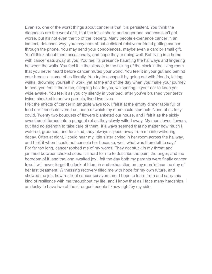Even so, one of the worst things about cancer is that it is persistent. You think the diagnoses are the worst of it, that the initial shock and anger and sadness can't get worse, but it's not even the tip of the iceberg. Many people experience cancer in an indirect, detached way; you may hear about a distant relative or friend getting cancer through the phone. You may send your condolences, maybe even a card or small gift. You'll think about them occasionally, and hope they're doing well. But living in a home with cancer eats away at you. You feel its presence haunting the hallways and lingering between the walls. You feel it in the silence, in the ticking of the clock in the living room that you never heard before cancer muted your world. You feel it in your gut and behind your breasts - some of us literally. You try to escape it by going out with friends, taking walks, drowning yourself in work, yet at the end of the day when you make your journey to bed, you feel it there too, sleeping beside you, whispering in your ear to keep you wide awake. You feel it as you cry silently in your bed, after you've brushed your teeth twice, checked in on two parents, lived two lives.

I felt the effects of cancer in tangible ways too. I felt it at the empty dinner table full of food our friends delivered us, none of which my mom could stomach. None of us truly could. Twenty two bouquets of flowers blanketed our house, and I felt it as the sickly sweet smell turned into a pungent rot as they slowly wilted away. My mom loves flowers, but had no strength to take care of them. It always seemed that no matter how much I watered, groomed, and fertilized, they always slipped away from me into withering decay. Often at night, I could hear my little sister crying in her room across the hallway, and I felt it when I could not console her because, well, what was there left to say? For far too long, cancer robbed me of my words. They got stuck in my throat and jammed between choked sobs. It's hard for me to describe the pain, the anger, and the boredom of it, and the long awaited joy I felt the day both my parents were finally cancer free. I will never forget the look of triumph and exhaustion on my mom's face the day of her last treatment. Witnessing recovery filled me with hope for my own future, and showed me just how resilient cancer survivors are. I hope to learn from and carry this kind of resilience with me throughout my life, and I know that as I face many hardships, I am lucky to have two of the strongest people I know right by my side.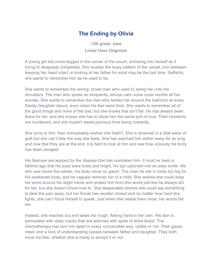## **The Ending by Olivia**

*12th grade, Iowa Loved Ones Diagnosis*

<span id="page-50-0"></span>A young girl sits cross-legged in the corner of the couch, shrinking into herself as if trying to disappear completely. She studies the loopy pattern of the carpet, torn between keeping her heart intact or looking at her father for what may be the last time. Selfishly, she wants to remember him as he used to be.

She wants to remember the strong, broad man who used to swing her onto his shoulders. The man who spoke so eloquently, whose calm voice could soothe all her worries. She wants to remember the man who twirled her around the ballroom at every Daddy Daughter dance, even when his feet were tired. She wants to remember all of the good things and none of the bad, but she knows that isn't fair. He has always been there for her, and she knows she has to show him the same sort of love. Their moments are numbered, and she mustn't waste precious time being cowardly.

She turns to him, then immediately wishes she hadn't. She is drowned in a tidal wave of guilt but she can't help the way she feels. She has watched him wither away for so long and now that they are at the end, it is hard to look at him and see how viciously his body has been ravaged.

His features are warped by the disease that has overtaken him. It must've been a lifetime ago that his eyes were lively and bright, his lips upturned into an easy smile. His skin was never this ashen, his body never so gaunt. The chair he sits in looks too big for his weakened body, and he vaguely reminds her of a child. She wishes she could wrap her arms around his slight frame and protect him from this world just like he always did for her, but she doesn't know how to. She desperately wishes she could say something to take the pain away, but her throat has swollen closed and no matter how hard she fights, she can't force herself to speak. Just when she needs them most, her words fail her.

Instead, she reaches out and takes his rough, flaking hand in her own. His skin is permeated with deep cracks that are adorned with spots of dried blood. The chemotherapy has torn him apart in every conceivable way, visible or not. Their gazes meet, and a look of understanding passes between father and daughter. They both know his fate, whether she is ready to accept it or not.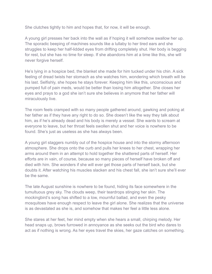She clutches tightly to him and hopes that, for now, it will be enough.

A young girl presses her back into the wall as if hoping it will somehow swallow her up. The sporadic beeping of machines sounds like a lullaby to her tired ears and she struggles to keep her half-lidded eyes from drifting completely shut. Her body is begging for rest, but she has no time for sleep. If she abandons him at a time like this, she will never forgive herself.

He's lying in a hospice bed, the blanket she made for him tucked under his chin. A sick feeling of dread twists her stomach as she watches him, wondering which breath will be his last. Selfishly, she hopes he stays forever. Keeping him like this, unconscious and pumped full of pain meds, would be better than losing him altogether. She closes her eyes and prays to a god she isn't sure she believes in anymore that her father will miraculously live.

The room feels cramped with so many people gathered around, gawking and poking at her father as if they have any right to do so. She doesn't like the way they talk about him, as if he's already dead and his body is merely a vessel. She wants to scream at everyone to leave, but her throat feels swollen shut and her voice is nowhere to be found. She's just as useless as she has always been.

A young girl staggers numbly out of the hospice house and into the stormy afternoon atmosphere. She drops onto the curb and pulls her knees to her chest, wrapping her arms around them in an attempt to hold together the shattered parts of herself. Her efforts are in vain, of course, because so many pieces of herself have broken off and died with him. She wonders if she will ever get those parts of herself back, but she doubts it. After watching his muscles slacken and his chest fall, she isn't sure she'll ever be the same.

The late August sunshine is nowhere to be found, hiding its face somewhere in the tumultuous grey sky. The clouds weep, their teardrops stinging her skin. The mockingbird's song has shifted to a low, mournful ballad, and even the pesky mosquitoes have enough respect to leave the girl alone. She realizes that the universe is as devastated as she is, and somehow that makes her feel a little less alone.

She stares at her feet, her mind empty when she hears a small, chirping melody. Her head snaps up, brows furrowed in annoyance as she seeks out the bird who dares to act as if nothing is wrong. As her eyes travel the skies, her gaze catches on something.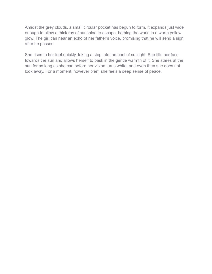Amidst the grey clouds, a small circular pocket has begun to form. It expands just wide enough to allow a thick ray of sunshine to escape, bathing the world in a warm yellow glow. The girl can hear an echo of her father's voice, promising that he will send a sign after he passes.

She rises to her feet quickly, taking a step into the pool of sunlight. She tilts her face towards the sun and allows herself to bask in the gentle warmth of it. She stares at the sun for as long as she can before her vision turns white, and even then she does not look away. For a moment, however brief, she feels a deep sense of peace.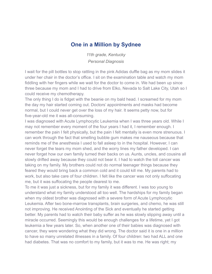#### **One in a Million by Sydnee**

*11th grade, Kentucky Personal Diagnosis*

<span id="page-53-0"></span>I wait for the pill bottles to stop rattling in the pink Adidas duffle bag as my mom slides it under her chair in the doctor's office. I sit on the examination table and watch my mom fiddling with her fingers while we wait for the doctor to come in. We had been up since three because my mom and I had to drive from Elko, Nevada to Salt Lake City, Utah so I could receive my chemotherapy.

The only thing I do is fidget with the beanie on my bald head. I screamed for my mom the day my hair started coming out. Doctors' appointments and masks had become normal, but I could never get over the loss of my hair. It seems petty now, but for five-year-old me it was all-consuming.

I was diagnosed with Acute Lymphocytic Leukemia when I was three years old. While I may not remember every moment of the four years I had it, I remember enough. I remember the pain I felt physically, but the pain I felt mentally is even more strenuous. I can work through the fact that smelling bubble gum makes me nauseous because that reminds me of the anesthesia I used to fall asleep to in the hospital. However, I can never forget the tears my mom shed, and the worry lines my father developed. I can never forget how our own family turned their backs on us. Aunts, uncles, and cousins all slowly drifted away because they could not bear it. I had to watch the toll cancer was taking on my family. My brothers could not do normal teenager things because they feared they would bring back a common cold and it could kill me. My parents had to work, but also take care of four children. I felt like the cancer was not only suffocating me, but it was suffocating the people dearest to me.

To me it was just a sickness, but for my family it was different. I was too young to understand what my family understood all too well. The hardships for my family began when my oldest brother was diagnosed with a severe form of Acute Lymphocytic Leukemia. After two bone-marrow transplants, brain surgeries, and chemo, he was still not improving. He received Anointing of the Sick and eventually he started getting better. My parents had to watch their baby suffer as he was slowly slipping away until a miracle occurred. Seemingly this would be enough challenges for a lifetime, yet I got leukemia a few years later. So, when another one of their babies was diagnosed with cancer, they were wondering what they did wrong. The doctor said it is one in a million to have so many unrelated illnesses in a family. Of four children: two had ALL and one had diabetes. That was no comfort to my family, but it was to me. He was right; my